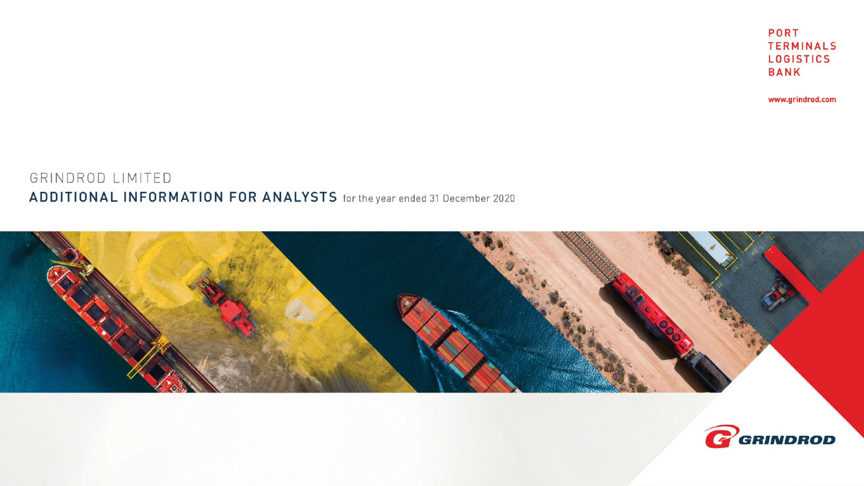



GRINDROD LIMITED ADDITIONAL INFORMATION FOR ANALYSTS for the year ended 31 December 2020 www.grindrod.com

**PORT TERMINALS LOGISTICS BANK**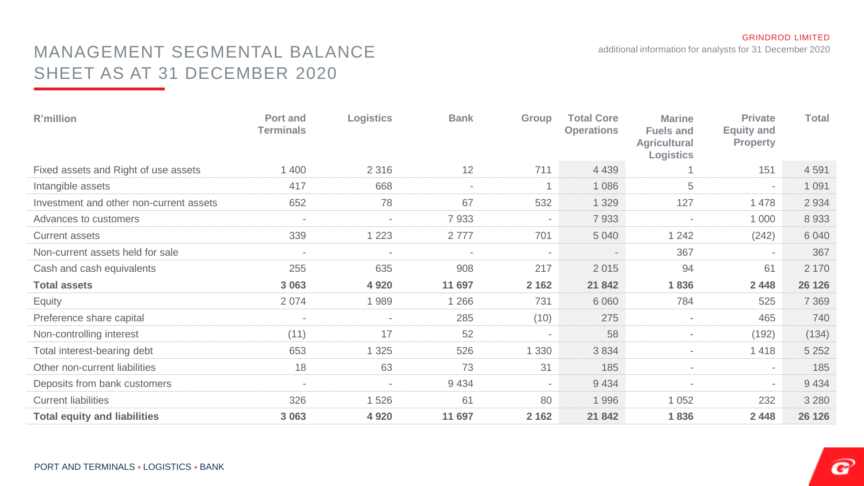additional information for analysts for 31 December 2020

### MANAGEMENT SEGMENTAL BALANCE SHEET AS AT 31 DECEMBER 2020

| R'million                               | Port and<br><b>Terminals</b> | Logistics      | <b>Bank</b>              | Group                    | <b>Total Core</b><br><b>Operations</b> | <b>Marine</b><br><b>Fuels and</b><br><b>Agricultural</b><br>Logistics | <b>Private</b><br><b>Equity and</b><br><b>Property</b> | <b>Total</b> |
|-----------------------------------------|------------------------------|----------------|--------------------------|--------------------------|----------------------------------------|-----------------------------------------------------------------------|--------------------------------------------------------|--------------|
| Fixed assets and Right of use assets    | 1 400                        | 2 3 1 6        | 12                       | 711                      | 4 4 3 9                                |                                                                       | 151                                                    | 4 5 9 1      |
| Intangible assets                       | 417                          | 668            | $\overline{\phantom{a}}$ | 1                        | 1 0 8 6                                | 5                                                                     | $\sim$                                                 | 1 0 9 1      |
| Investment and other non-current assets | 652                          | 78             | 67                       | 532                      | 1 3 2 9                                | 127                                                                   | 1478                                                   | 2 9 3 4      |
| Advances to customers                   | $\overline{\phantom{a}}$     | $\blacksquare$ | 7933                     | $\overline{\phantom{a}}$ | 7933                                   |                                                                       | 1 0 0 0                                                | 8933         |
| Current assets                          | 339                          | 1 2 2 3        | 2777                     | 701                      | 5 0 4 0                                | 1 2 4 2                                                               | (242)                                                  | 6 0 4 0      |
| Non-current assets held for sale        |                              | $\overline{a}$ | $\overline{a}$           | $\blacksquare$           |                                        | 367                                                                   | $\sim$                                                 | 367          |
| Cash and cash equivalents               | 255                          | 635            | 908                      | 217                      | 2015                                   | 94                                                                    | 61                                                     | 2 1 7 0      |
| <b>Total assets</b>                     | 3 0 6 3                      | 4 9 2 0        | 11 697                   | 2 1 6 2                  | 21 842                                 | 1836                                                                  | 2 4 4 8                                                | 26 126       |
| Equity                                  | 2 0 7 4                      | 1989           | 1 2 6 6                  | 731                      | 6 0 6 0                                | 784                                                                   | 525                                                    | 7 3 6 9      |
| Preference share capital                | $\overline{\phantom{a}}$     | $\blacksquare$ | 285                      | (10)                     | 275                                    | $\overline{\phantom{a}}$                                              | 465                                                    | 740          |
| Non-controlling interest                | (11)                         | 17             | 52                       | $\blacksquare$           | 58                                     | $\overline{\phantom{a}}$                                              | (192)                                                  | (134)        |
| Total interest-bearing debt             | 653                          | 1 3 2 5        | 526                      | 1 3 3 0                  | 3834                                   | $\overline{\phantom{a}}$                                              | 1418                                                   | 5 2 5 2      |
| Other non-current liabilities           | 18                           | 63             | 73                       | 31                       | 185                                    | $\overline{\phantom{a}}$                                              | $\sim$                                                 | 185          |
| Deposits from bank customers            | $\overline{\phantom{a}}$     | $\overline{a}$ | 9 4 3 4                  | $\overline{\phantom{a}}$ | 9 4 3 4                                |                                                                       | $\sim$                                                 | 9 4 3 4      |
| <b>Current liabilities</b>              | 326                          | 1 5 2 6        | 61                       | 80                       | 1996                                   | 1 0 5 2                                                               | 232                                                    | 3 2 8 0      |
| <b>Total equity and liabilities</b>     | 3 0 6 3                      | 4 9 2 0        | 11 697                   | 2 1 6 2                  | 21 842                                 | 1836                                                                  | 2 4 4 8                                                | 26 126       |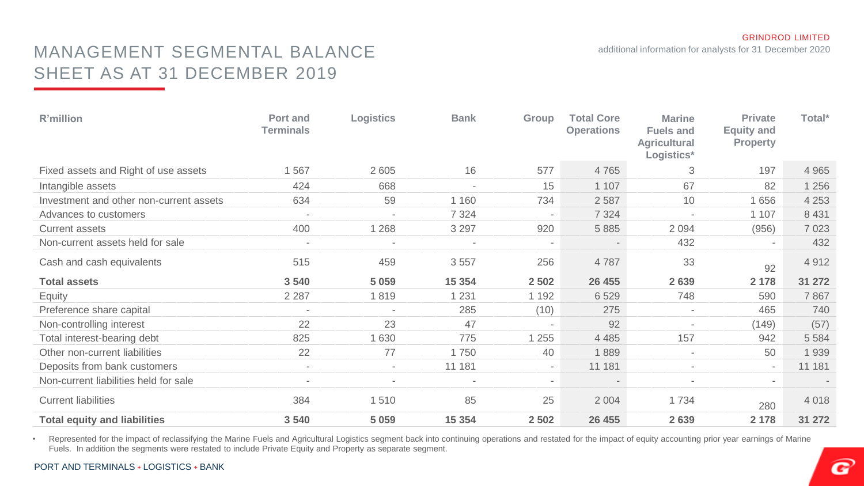additional information for analysts for 31 December 2020

### MANAGEMENT SEGMENTAL BALANCE SHEET AS AT 31 DECEMBER 2019

| R'million                               | Port and<br><b>Terminals</b> | Logistics                | <b>Bank</b>              | Group                    | <b>Total Core</b><br><b>Operations</b> | <b>Marine</b><br><b>Fuels and</b><br><b>Agricultural</b><br>Logistics* | <b>Private</b><br><b>Equity and</b><br><b>Property</b> | Total*  |
|-----------------------------------------|------------------------------|--------------------------|--------------------------|--------------------------|----------------------------------------|------------------------------------------------------------------------|--------------------------------------------------------|---------|
| Fixed assets and Right of use assets    | 1567                         | 2605                     | 16                       | 577                      | 4765                                   | 3                                                                      | 197                                                    | 4 9 6 5 |
| Intangible assets                       | 424                          | 668                      | $\overline{\phantom{a}}$ | 15                       | 1 107                                  | 67                                                                     | 82                                                     | 1 256   |
| Investment and other non-current assets | 634                          | 59                       | 1 160                    | 734                      | 2 5 8 7                                | 10                                                                     | 1 6 5 6                                                | 4 2 5 3 |
| Advances to customers                   | $\overline{\phantom{a}}$     | $\blacksquare$           | 7 3 2 4                  | $\overline{\phantom{a}}$ | 7 3 2 4                                | $\overline{a}$                                                         | 1 1 0 7                                                | 8 4 31  |
| <b>Current assets</b>                   | 400                          | 1 2 6 8                  | 3 2 9 7                  | 920                      | 5 8 8 5                                | 2 0 9 4                                                                | (956)                                                  | 7 0 23  |
| Non-current assets held for sale        |                              |                          |                          | $\overline{\phantom{a}}$ |                                        | 432                                                                    |                                                        | 432     |
| Cash and cash equivalents               | 515                          | 459                      | 3 5 5 7                  | 256                      | 4787                                   | 33                                                                     | 92                                                     | 4 9 1 2 |
| <b>Total assets</b>                     | 3 5 4 0                      | 5 0 5 9                  | 15 3 54                  | 2 5 0 2                  | 26 455                                 | 2639                                                                   | 2 1 7 8                                                | 31 272  |
| Equity                                  | 2 2 8 7                      | 1819                     | 1 2 3 1                  | 1 1 9 2                  | 6529                                   | 748                                                                    | 590                                                    | 7867    |
| Preference share capital                |                              |                          | 285                      | (10)                     | 275                                    |                                                                        | 465                                                    | 740     |
| Non-controlling interest                | 22                           | 23                       | 47                       | $\overline{\phantom{a}}$ | 92                                     | $\overline{\phantom{a}}$                                               | (149)                                                  | (57)    |
| Total interest-bearing debt             | 825                          | 1 6 3 0                  | 775                      | 1 2 5 5                  | 4 4 8 5                                | 157                                                                    | 942                                                    | 5 5 8 4 |
| Other non-current liabilities           | 22                           | 77                       | 1750                     | 40                       | 1889                                   |                                                                        | 50                                                     | 1 9 3 9 |
| Deposits from bank customers            | $\overline{\phantom{a}}$     | $\sim$                   | 11 181                   | $\sim$                   | 11 181                                 | $\overline{\phantom{a}}$                                               | $\sim$                                                 | 11 181  |
| Non-current liabilities held for sale   | $\overline{\phantom{a}}$     | $\overline{\phantom{0}}$ | $\blacksquare$           | $\sim$                   | $\overline{\phantom{a}}$               | $\overline{\phantom{a}}$                                               | $\overline{\phantom{a}}$                               |         |
| <b>Current liabilities</b>              | 384                          | 1510                     | 85                       | 25                       | 2 0 0 4                                | 1 7 3 4                                                                | 280                                                    | 4 0 18  |
| <b>Total equity and liabilities</b>     | 3 5 4 0                      | 5 0 5 9                  | 15 354                   | 2 5 0 2                  | 26 455                                 | 2639                                                                   | 2 1 7 8                                                | 31 272  |

• Represented for the impact of reclassifying the Marine Fuels and Agricultural Logistics segment back into continuing operations and restated for the impact of equity accounting prior year earnings of Marine Fuels. In addition the segments were restated to include Private Equity and Property as separate segment.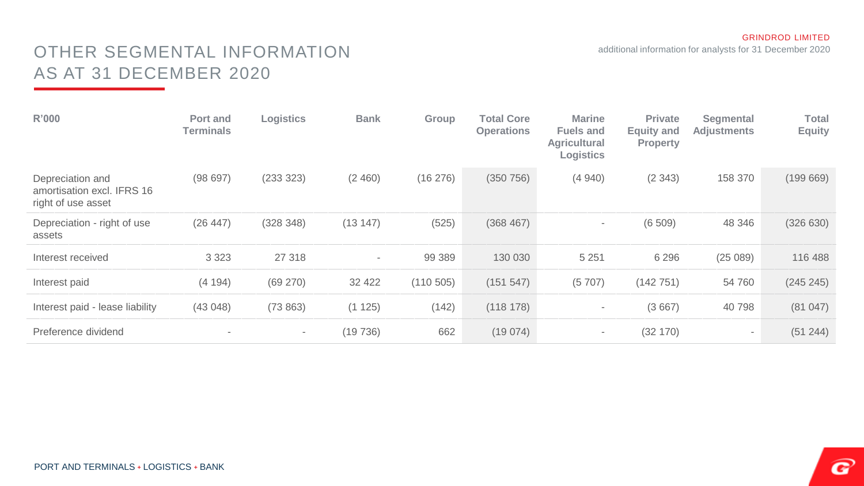additional information for analysts for 31 December 2020

# OTHER SEGMENTAL INFORMATION AS AT 31 DECEMBER 2020

| R'000                                                                | Port and<br><b>Terminals</b> | Logistics                | <b>Bank</b>              | Group     | <b>Total Core</b><br><b>Operations</b> | <b>Marine</b><br><b>Fuels and</b><br>Agricultural<br>Logistics | <b>Private</b><br><b>Equity and</b><br><b>Property</b> | Segmental<br><b>Adjustments</b> | <b>Total</b><br><b>Equity</b> |
|----------------------------------------------------------------------|------------------------------|--------------------------|--------------------------|-----------|----------------------------------------|----------------------------------------------------------------|--------------------------------------------------------|---------------------------------|-------------------------------|
| Depreciation and<br>amortisation excl. IFRS 16<br>right of use asset | (98697)                      | (233 323)                | (2, 460)                 | (16276)   | (350 756)                              | (4940)                                                         | (2343)                                                 | 158 370                         | (199669)                      |
| Depreciation - right of use<br>assets                                | (26 447)                     | (328 348)                | (13147)                  | (525)     | (368 467)                              | $\overline{\phantom{a}}$                                       | (6509)                                                 | 48 346                          | (326 630)                     |
| Interest received                                                    | 3 3 2 3                      | 27 318                   | $\overline{\phantom{a}}$ | 99 389    | 130 030                                | 5 2 5 1                                                        | 6 2 9 6                                                | (25089)                         | 116 488                       |
| Interest paid                                                        | (4194)                       | (69 270)                 | 32 4 22                  | (110 505) | (151 547)                              | (5707)                                                         | (142 751)                                              | 54 760                          | (245 245)                     |
| Interest paid - lease liability                                      | (43048)                      | (73863)                  | (1 125)                  | (142)     | (118 178)                              | $\sim$                                                         | (3667)                                                 | 40 798                          | (81047)                       |
| Preference dividend                                                  |                              | $\overline{\phantom{a}}$ | (19736)                  | 662       | (19074)                                | $\sim$                                                         | (32 170)                                               | $\sim$                          | (51 244)                      |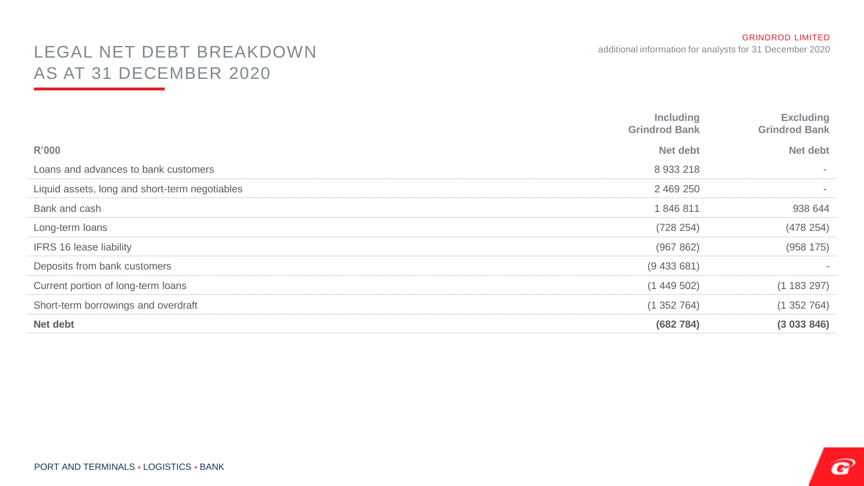# LEGAL NET DEBT BREAKDOWN AS AT 31 DECEMBER 2020

|                                                | Including<br><b>Grindrod Bank</b> | <b>Excluding</b><br><b>Grindrod Bank</b> |
|------------------------------------------------|-----------------------------------|------------------------------------------|
| R'000                                          | Net debt                          | Net debt                                 |
| Loans and advances to bank customers           | 8933218                           | $\overline{\phantom{a}}$                 |
| Liquid assets, long and short-term negotiables | 2 469 250                         | $\overline{\phantom{a}}$                 |
| Bank and cash                                  | 1846811                           | 938 644                                  |
| Long-term loans                                | (728 254)                         | (478 254)                                |
| <b>IFRS 16 lease liability</b>                 | (967 862)                         | (958 175)                                |
| Deposits from bank customers                   | (9433681)                         |                                          |
| Current portion of long-term loans             | (1449502)                         | (1183297)                                |
| Short-term borrowings and overdraft            | (1352764)                         | (1352764)                                |
| Net debt                                       | (682784)                          | (3033846)                                |
|                                                |                                   |                                          |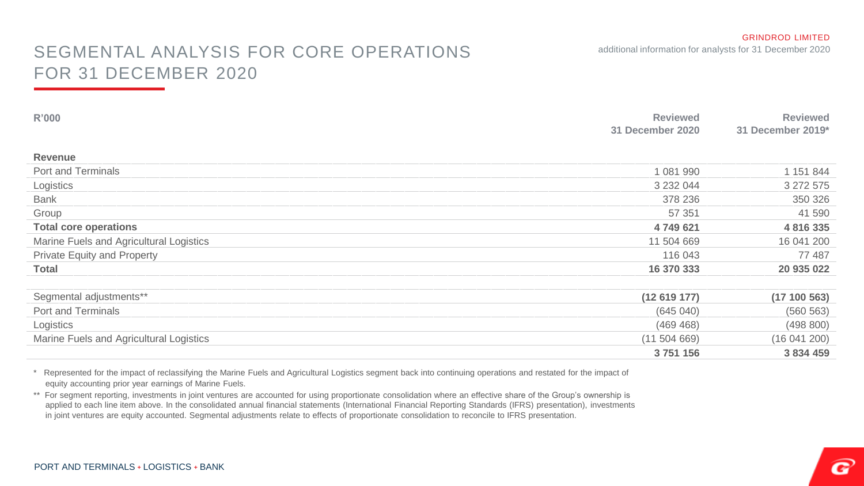## SEGMENTAL ANALYSIS FOR CORE OPERATIONS additional information for analysts for 31 December 2020 FOR 31 DECEMBER 2020

| R'000                                   | <b>Reviewed</b><br>31 December 2020 | <b>Reviewed</b><br>31 December 2019* |
|-----------------------------------------|-------------------------------------|--------------------------------------|
| <b>Revenue</b>                          |                                     |                                      |
| Port and Terminals                      | 1 081 990                           | 1 151 844                            |
| Logistics                               | 3 2 3 2 0 4 4                       | 3 272 575                            |
| <b>Bank</b>                             | 378 236                             | 350 326                              |
| Group                                   | 57 351                              | 41 590                               |
| <b>Total core operations</b>            | 4 749 621                           | 4 8 1 6 3 3 5                        |
| Marine Fuels and Agricultural Logistics | 11 504 669                          | 16 041 200                           |
| Private Equity and Property             | 116 043                             | 77 487                               |
| <b>Total</b>                            | 16 370 333                          | 20 935 022                           |
|                                         |                                     |                                      |
| Segmental adjustments**                 | (12619177)                          | (17100563)                           |
| Port and Terminals                      | (645040)                            | (560 563)                            |
| Logistics                               | (469 468)                           | (498 800)                            |
| Marine Fuels and Agricultural Logistics | (11 504 669)                        | (16041200)                           |
|                                         | 3751156                             | 3 834 459                            |

\* Represented for the impact of reclassifying the Marine Fuels and Agricultural Logistics segment back into continuing operations and restated for the impact of equity accounting prior year earnings of Marine Fuels.

\*\* For segment reporting, investments in joint ventures are accounted for using proportionate consolidation where an effective share of the Group's ownership is applied to each line item above. In the consolidated annual financial statements (International Financial Reporting Standards (IFRS) presentation), investments in joint ventures are equity accounted. Segmental adjustments relate to effects of proportionate consolidation to reconcile to IFRS presentation.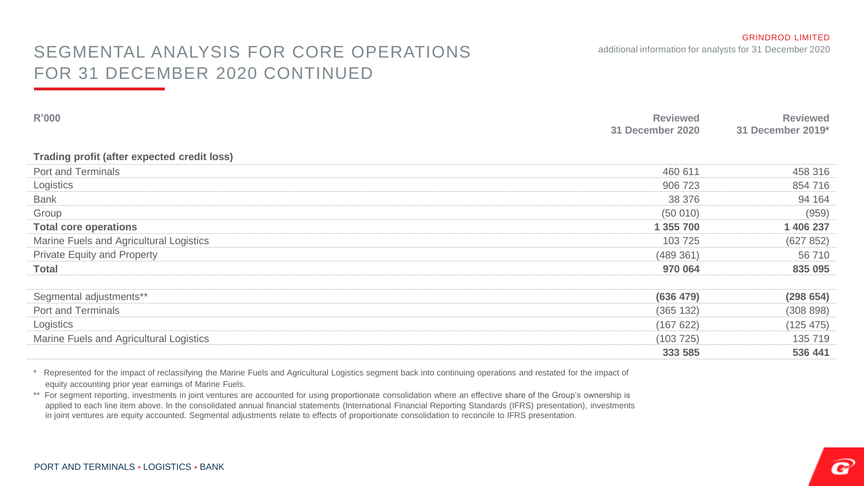### SEGMENTAL ANALYSIS FOR CORE OPERATIONS additional information for analysts for 31 December 2020 FOR 31 DECEMBER 2020 CONTINUED

| R'000                                       | <b>Reviewed</b><br>31 December 2020 | <b>Reviewed</b><br>31 December 2019* |
|---------------------------------------------|-------------------------------------|--------------------------------------|
| Trading profit (after expected credit loss) |                                     |                                      |
| Port and Terminals                          | 460 611                             | 458 316                              |
| Logistics                                   | 906 723                             | 854 716                              |
| Bank                                        | 38 376                              | 94 164                               |
| Group                                       | (50010)                             | (959)                                |
| <b>Total core operations</b>                | 1 355 700                           | 1 406 237                            |
| Marine Fuels and Agricultural Logistics     | 103 725                             | (627 852)                            |
| Private Equity and Property                 | (489361)                            | 56 710                               |
| <b>Total</b>                                | 970 064                             | 835 095                              |
|                                             |                                     |                                      |
| Segmental adjustments**                     | (636 479)                           | (298654)                             |
| Port and Terminals                          | (365 132)                           | (308898)                             |
| Logistics                                   | (167622)                            | (125 475)                            |
| Marine Fuels and Agricultural Logistics     | (103725)                            | 135 719                              |
|                                             | 333 585                             | 536 441                              |

\* Represented for the impact of reclassifying the Marine Fuels and Agricultural Logistics segment back into continuing operations and restated for the impact of equity accounting prior year earnings of Marine Fuels.

\*\* For segment reporting, investments in joint ventures are accounted for using proportionate consolidation where an effective share of the Group's ownership is applied to each line item above. In the consolidated annual financial statements (International Financial Reporting Standards (IFRS) presentation), investments in joint ventures are equity accounted. Segmental adjustments relate to effects of proportionate consolidation to reconcile to IFRS presentation.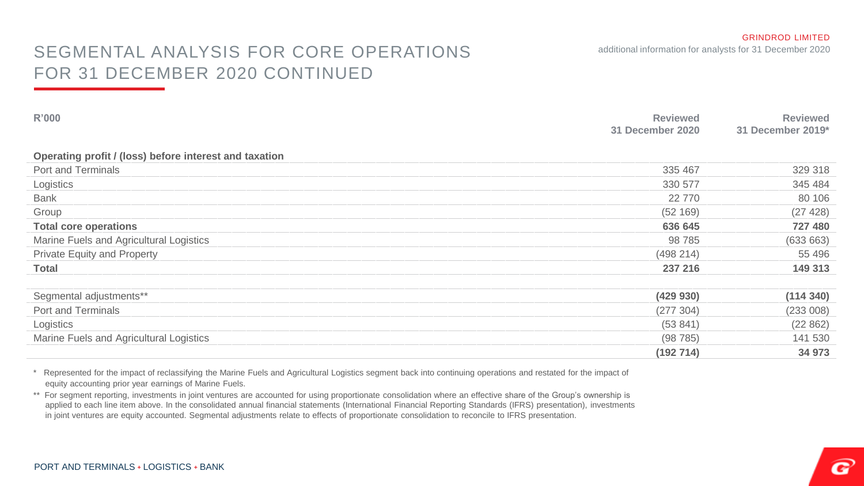## SEGMENTAL ANALYSIS FOR CORE OPERATIONS additional information for analysts for 31 December 2020 FOR 31 DECEMBER 2020 CONTINUED

| R'000                                                  | <b>Reviewed</b><br>31 December 2020 | <b>Reviewed</b><br>31 December 2019* |
|--------------------------------------------------------|-------------------------------------|--------------------------------------|
| Operating profit / (loss) before interest and taxation |                                     |                                      |
| Port and Terminals                                     | 335 467                             | 329 318                              |
| Logistics                                              | 330 577                             | 345 484                              |
| Bank                                                   | 22 770                              | 80 106                               |
| Group                                                  | (52169)                             | (27 428)                             |
| <b>Total core operations</b>                           | 636 645                             | 727 480                              |
| Marine Fuels and Agricultural Logistics                | 98 785                              | (633663)                             |
| Private Equity and Property                            | (498 214)                           | 55 496                               |
| Total                                                  | 237 216                             | 149 313                              |
|                                                        |                                     |                                      |
| Segmental adjustments**                                | (429 930)                           | (114340)                             |
| Port and Terminals                                     | (277304)                            | (233 008)                            |
| Logistics                                              | (53841)                             | (22 862)                             |
| Marine Fuels and Agricultural Logistics                | (98785)                             | 141 530                              |
|                                                        | (192714)                            | 34 973                               |

\* Represented for the impact of reclassifying the Marine Fuels and Agricultural Logistics segment back into continuing operations and restated for the impact of equity accounting prior year earnings of Marine Fuels.

\*\* For segment reporting, investments in joint ventures are accounted for using proportionate consolidation where an effective share of the Group's ownership is applied to each line item above. In the consolidated annual financial statements (International Financial Reporting Standards (IFRS) presentation), investments in joint ventures are equity accounted. Segmental adjustments relate to effects of proportionate consolidation to reconcile to IFRS presentation.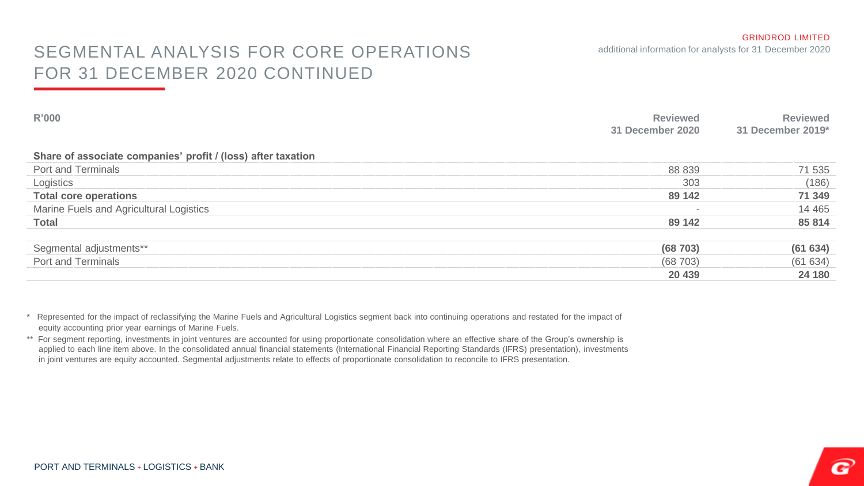### SEGMENTAL ANALYSIS FOR CORE OPERATIONS additional information for analysts for 31 December 2020 FOR 31 DECEMBER 2020 CONTINUED

| R'000                                                        | <b>Reviewed</b><br>31 December 2020 | Reviewed<br>31 December 2019* |
|--------------------------------------------------------------|-------------------------------------|-------------------------------|
| Share of associate companies' profit / (loss) after taxation |                                     |                               |
| Port and Terminals                                           | 88 839                              | 71 535                        |
| Logistics                                                    | 303                                 | (186)                         |
| <b>Total core operations</b>                                 | 89 142                              | 71 349                        |
| Marine Fuels and Agricultural Logistics                      |                                     | 14 4 65                       |
| <b>Total</b>                                                 | 89 142                              | 85 814                        |
|                                                              |                                     |                               |
| Segmental adjustments**                                      | (68703)                             | (61 634)                      |
| Port and Terminals                                           | (68703)                             | (61634)                       |
|                                                              | 20 439                              | 24 180                        |

\* Represented for the impact of reclassifying the Marine Fuels and Agricultural Logistics segment back into continuing operations and restated for the impact of equity accounting prior year earnings of Marine Fuels.

\*\* For segment reporting, investments in joint ventures are accounted for using proportionate consolidation where an effective share of the Group's ownership is applied to each line item above. In the consolidated annual financial statements (International Financial Reporting Standards (IFRS) presentation), investments in joint ventures are equity accounted. Segmental adjustments relate to effects of proportionate consolidation to reconcile to IFRS presentation.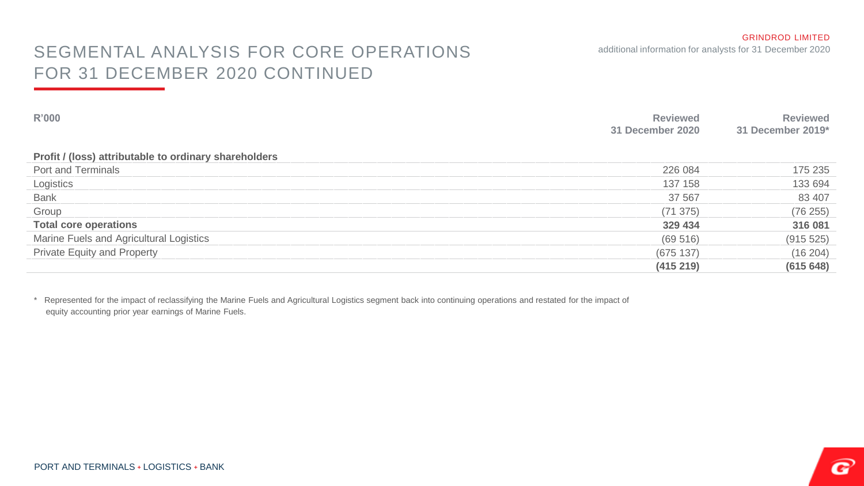### SEGMENTAL ANALYSIS FOR CORE OPERATIONS additional information for analysts for 31 December 2020 FOR 31 DECEMBER 2020 CONTINUED

| R'000                                                 | <b>Reviewed</b><br>31 December 2020 | <b>Reviewed</b><br>31 December 2019* |
|-------------------------------------------------------|-------------------------------------|--------------------------------------|
| Profit / (loss) attributable to ordinary shareholders |                                     |                                      |
| Port and Terminals                                    | 226 084                             | 175 235                              |
| Logistics                                             | 137 158                             | 133 694                              |
| Bank                                                  | 37 567                              | 83 407                               |
| Group                                                 | (71375)                             | (76 255)                             |
| <b>Total core operations</b>                          | 329 434                             | 316 081                              |
| Marine Fuels and Agricultural Logistics               | (69516)                             | (915 525)                            |
| <b>Private Equity and Property</b>                    | (675137)                            | (16 204)                             |
|                                                       | (415219)                            | (615648)                             |

\* Represented for the impact of reclassifying the Marine Fuels and Agricultural Logistics segment back into continuing operations and restated for the impact of equity accounting prior year earnings of Marine Fuels.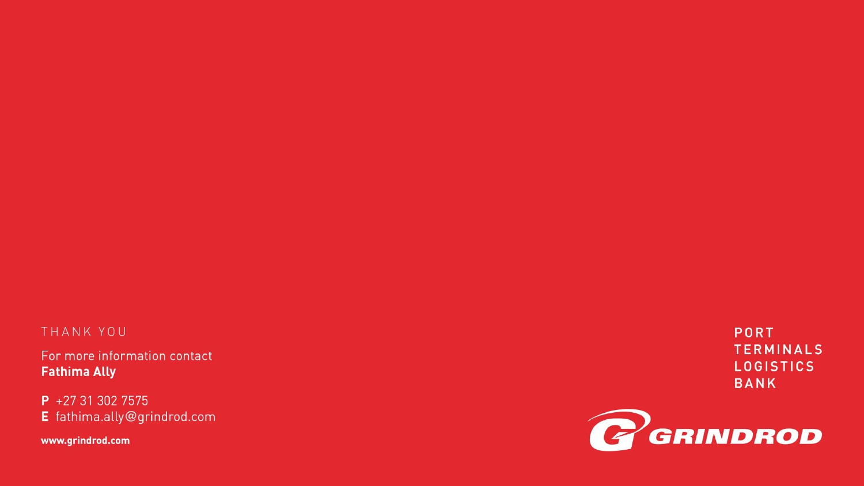### THANK YOU

For more information contact **Fathima Ally** 

P +27 31 302 7575 E fathima.ally@grindrod.com

www.grindrod.com

PORT **TERMINALS LOGISTICS BANK**